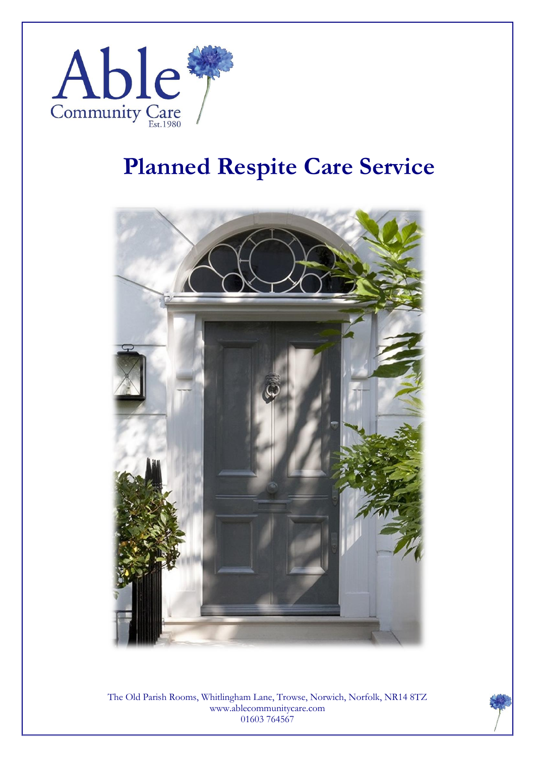

## **Planned Respite Care Service**



The Old Parish Rooms, Whitlingham Lane, Trowse, Norwich, Norfolk, NR14 8TZ www.ablecommunitycare.com 01603 764567

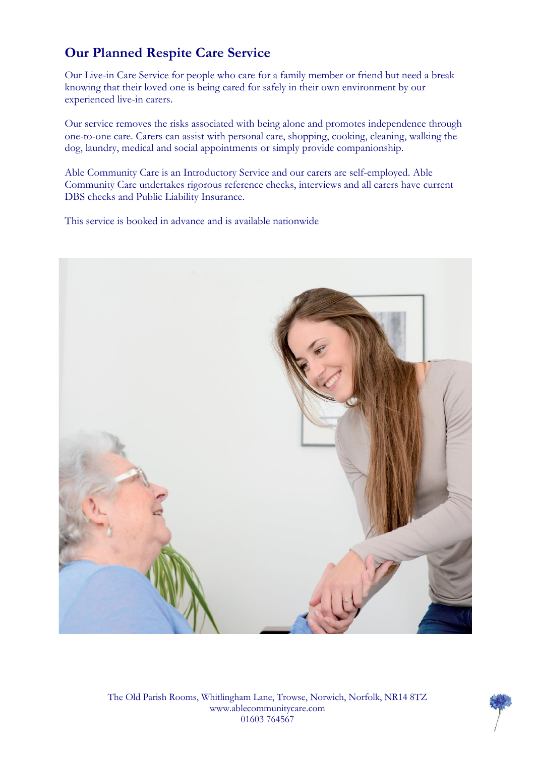#### **Our Planned Respite Care Service**

Our Live-in Care Service for people who care for a family member or friend but need a break knowing that their loved one is being cared for safely in their own environment by our experienced live-in carers.

Our service removes the risks associated with being alone and promotes independence through one-to-one care. Carers can assist with personal care, shopping, cooking, cleaning, walking the dog, laundry, medical and social appointments or simply provide companionship.

Able Community Care is an Introductory Service and our carers are self-employed. Able Community Care undertakes rigorous reference checks, interviews and all carers have current DBS checks and Public Liability Insurance.

This service is booked in advance and is available nationwide



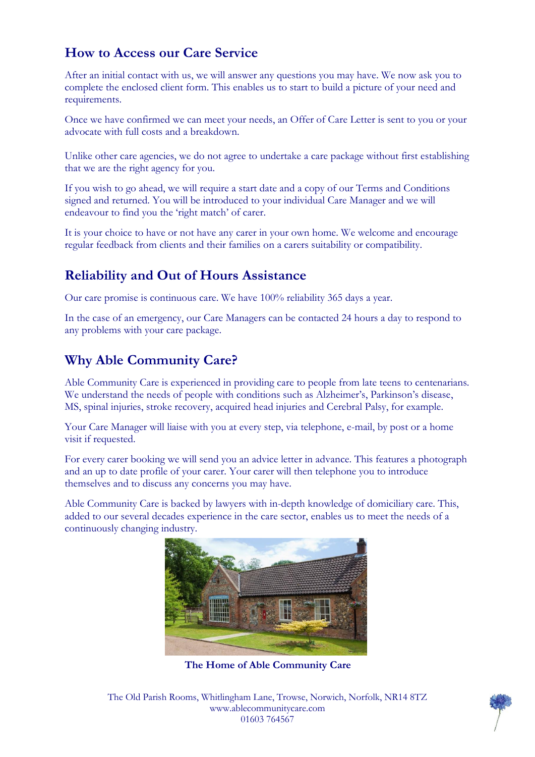#### **How to Access our Care Service**

After an initial contact with us, we will answer any questions you may have. We now ask you to complete the enclosed client form. This enables us to start to build a picture of your need and requirements.

Once we have confirmed we can meet your needs, an Offer of Care Letter is sent to you or your advocate with full costs and a breakdown.

Unlike other care agencies, we do not agree to undertake a care package without first establishing that we are the right agency for you.

If you wish to go ahead, we will require a start date and a copy of our Terms and Conditions signed and returned. You will be introduced to your individual Care Manager and we will endeavour to find you the 'right match' of carer.

It is your choice to have or not have any carer in your own home. We welcome and encourage regular feedback from clients and their families on a carers suitability or compatibility.

#### **Reliability and Out of Hours Assistance**

Our care promise is continuous care. We have 100% reliability 365 days a year.

In the case of an emergency, our Care Managers can be contacted 24 hours a day to respond to any problems with your care package.

#### **Why Able Community Care?**

Able Community Care is experienced in providing care to people from late teens to centenarians. We understand the needs of people with conditions such as Alzheimer's, Parkinson's disease, MS, spinal injuries, stroke recovery, acquired head injuries and Cerebral Palsy, for example.

Your Care Manager will liaise with you at every step, via telephone, e-mail, by post or a home visit if requested.

For every carer booking we will send you an advice letter in advance. This features a photograph and an up to date profile of your carer. Your carer will then telephone you to introduce themselves and to discuss any concerns you may have.

Able Community Care is backed by lawyers with in-depth knowledge of domiciliary care. This, added to our several decades experience in the care sector, enables us to meet the needs of a continuously changing industry.



**The Home of Able Community Care**